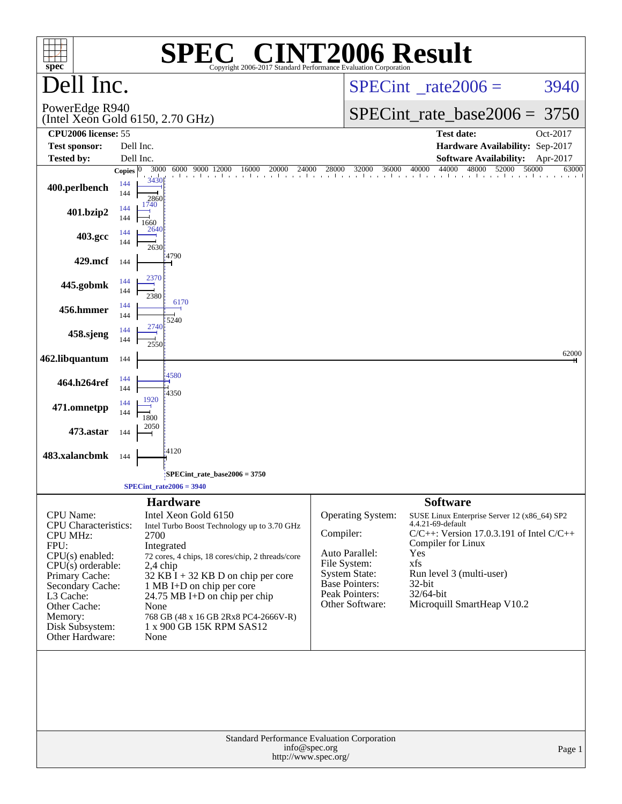| spec <sup>®</sup>                                                                                                                                                                                                                 |                                   |                                                                                                                                                                                                                                                                                                                                                   | <b>SPEC<sup>®</sup> CINT2006 Result</b><br>Copyright 2006-2017 Standard Performance Evaluation Corporation |                                                                  |                                                                                                                                           |                                                                                                                                                                                                                                            |                |  |
|-----------------------------------------------------------------------------------------------------------------------------------------------------------------------------------------------------------------------------------|-----------------------------------|---------------------------------------------------------------------------------------------------------------------------------------------------------------------------------------------------------------------------------------------------------------------------------------------------------------------------------------------------|------------------------------------------------------------------------------------------------------------|------------------------------------------------------------------|-------------------------------------------------------------------------------------------------------------------------------------------|--------------------------------------------------------------------------------------------------------------------------------------------------------------------------------------------------------------------------------------------|----------------|--|
| Dell Inc.                                                                                                                                                                                                                         |                                   |                                                                                                                                                                                                                                                                                                                                                   |                                                                                                            | $SPECint^{\circ}$ rate $2006 =$                                  | 3940                                                                                                                                      |                                                                                                                                                                                                                                            |                |  |
| PowerEdge R940                                                                                                                                                                                                                    |                                   | (Intel Xeon Gold 6150, 2.70 GHz)                                                                                                                                                                                                                                                                                                                  | $SPECint_rate\_base2006 =$<br>3750                                                                         |                                                                  |                                                                                                                                           |                                                                                                                                                                                                                                            |                |  |
| CPU <sub>2006</sub> license: 55<br><b>Test sponsor:</b>                                                                                                                                                                           | Dell Inc.                         |                                                                                                                                                                                                                                                                                                                                                   |                                                                                                            | <b>Test date:</b><br>Oct-2017<br>Hardware Availability: Sep-2017 |                                                                                                                                           |                                                                                                                                                                                                                                            |                |  |
| <b>Tested by:</b>                                                                                                                                                                                                                 | Dell Inc.                         |                                                                                                                                                                                                                                                                                                                                                   |                                                                                                            |                                                                  |                                                                                                                                           | <b>Software Availability:</b>                                                                                                                                                                                                              | Apr-2017       |  |
| 400.perlbench                                                                                                                                                                                                                     | Copies $ 0 $<br>144<br>144<br>144 | 9000 12000<br>3000<br>6000<br>3430<br>2860<br>1740                                                                                                                                                                                                                                                                                                | 24000<br>16000<br>20000<br>. I I I I I I I I I I I I I .                                                   | 28000                                                            | 32000<br>36000                                                                                                                            | 44000<br>40000<br>48000<br>52000                                                                                                                                                                                                           | 56000<br>63000 |  |
| 401.bzip2                                                                                                                                                                                                                         | 144                               | 1660<br>2640                                                                                                                                                                                                                                                                                                                                      |                                                                                                            |                                                                  |                                                                                                                                           |                                                                                                                                                                                                                                            |                |  |
| 403.gcc                                                                                                                                                                                                                           | 144<br>144                        | 2630                                                                                                                                                                                                                                                                                                                                              |                                                                                                            |                                                                  |                                                                                                                                           |                                                                                                                                                                                                                                            |                |  |
| 429.mcf                                                                                                                                                                                                                           | 144                               | 4790<br>2370                                                                                                                                                                                                                                                                                                                                      |                                                                                                            |                                                                  |                                                                                                                                           |                                                                                                                                                                                                                                            |                |  |
| 445.gobmk                                                                                                                                                                                                                         | 144<br>144                        | 2380                                                                                                                                                                                                                                                                                                                                              |                                                                                                            |                                                                  |                                                                                                                                           |                                                                                                                                                                                                                                            |                |  |
| 456.hmmer                                                                                                                                                                                                                         | 144<br>144                        | 6170<br>5240                                                                                                                                                                                                                                                                                                                                      |                                                                                                            |                                                                  |                                                                                                                                           |                                                                                                                                                                                                                                            |                |  |
| 458.sjeng                                                                                                                                                                                                                         | 144<br>144                        | 2740<br>2550                                                                                                                                                                                                                                                                                                                                      |                                                                                                            |                                                                  |                                                                                                                                           |                                                                                                                                                                                                                                            |                |  |
| 462.libquantum                                                                                                                                                                                                                    | 144                               |                                                                                                                                                                                                                                                                                                                                                   |                                                                                                            |                                                                  |                                                                                                                                           |                                                                                                                                                                                                                                            | 62000          |  |
| 464.h264ref                                                                                                                                                                                                                       | 144<br>144                        | 4580<br>4350                                                                                                                                                                                                                                                                                                                                      |                                                                                                            |                                                                  |                                                                                                                                           |                                                                                                                                                                                                                                            |                |  |
| 471.omnetpp                                                                                                                                                                                                                       | 144<br>144                        | 1920<br>1800                                                                                                                                                                                                                                                                                                                                      |                                                                                                            |                                                                  |                                                                                                                                           |                                                                                                                                                                                                                                            |                |  |
| 473.astar                                                                                                                                                                                                                         | 144                               | 2050                                                                                                                                                                                                                                                                                                                                              |                                                                                                            |                                                                  |                                                                                                                                           |                                                                                                                                                                                                                                            |                |  |
| 483.xalancbmk                                                                                                                                                                                                                     | 144                               | 4120                                                                                                                                                                                                                                                                                                                                              |                                                                                                            |                                                                  |                                                                                                                                           |                                                                                                                                                                                                                                            |                |  |
| $SPECint_rate_base2006 = 3750$<br>$SPECint_rate2006 = 3940$                                                                                                                                                                       |                                   |                                                                                                                                                                                                                                                                                                                                                   |                                                                                                            |                                                                  |                                                                                                                                           |                                                                                                                                                                                                                                            |                |  |
|                                                                                                                                                                                                                                   |                                   | <b>Hardware</b>                                                                                                                                                                                                                                                                                                                                   |                                                                                                            |                                                                  |                                                                                                                                           | <b>Software</b>                                                                                                                                                                                                                            |                |  |
| CPU Name:<br><b>CPU</b> Characteristics:<br><b>CPU MHz:</b><br>FPU:<br>CPU(s) enabled:<br>$CPU(s)$ orderable:<br>Primary Cache:<br>Secondary Cache:<br>L3 Cache:<br>Other Cache:<br>Memory:<br>Disk Subsystem:<br>Other Hardware: |                                   | Intel Xeon Gold 6150<br>Intel Turbo Boost Technology up to 3.70 GHz<br>2700<br>Integrated<br>72 cores, 4 chips, 18 cores/chip, 2 threads/core<br>2,4 chip<br>32 KB I + 32 KB D on chip per core<br>1 MB I+D on chip per core<br>24.75 MB I+D on chip per chip<br>None<br>768 GB (48 x 16 GB 2Rx8 PC4-2666V-R)<br>1 x 900 GB 15K RPM SAS12<br>None |                                                                                                            | Compiler:                                                        | Operating System:<br>Auto Parallel:<br>File System:<br><b>System State:</b><br><b>Base Pointers:</b><br>Peak Pointers:<br>Other Software: | SUSE Linux Enterprise Server 12 (x86_64) SP2<br>4.4.21-69-default<br>$C/C++$ : Version 17.0.3.191 of Intel $C/C++$<br>Compiler for Linux<br>Yes<br>xfs<br>Run level 3 (multi-user)<br>32-bit<br>$32/64$ -bit<br>Microquill SmartHeap V10.2 |                |  |
| Standard Performance Evaluation Corporation<br>info@spec.org<br>Page 1<br>http://www.spec.org/                                                                                                                                    |                                   |                                                                                                                                                                                                                                                                                                                                                   |                                                                                                            |                                                                  |                                                                                                                                           |                                                                                                                                                                                                                                            |                |  |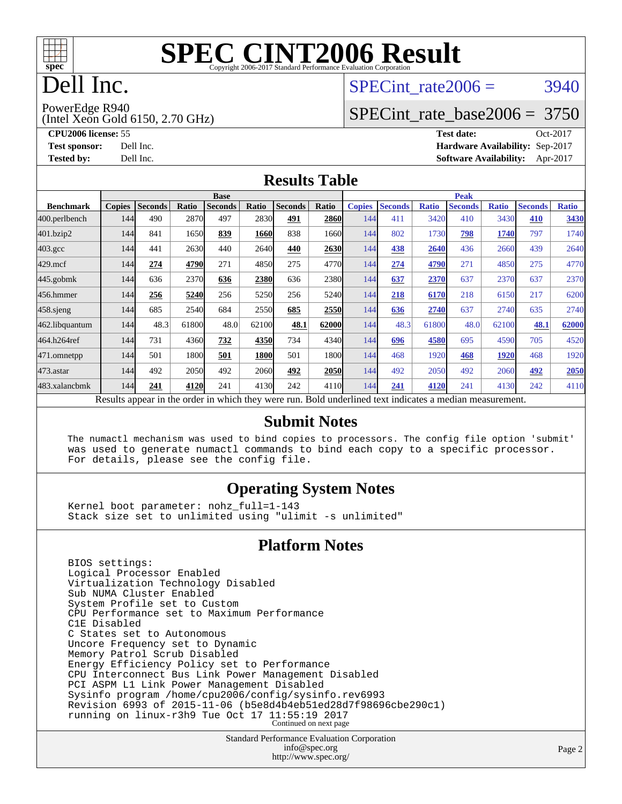

# Dell Inc.

#### SPECint rate $2006 = 3940$

PowerEdge R940

(Intel Xeon Gold 6150, 2.70 GHz)

[SPECint\\_rate\\_base2006 =](http://www.spec.org/auto/cpu2006/Docs/result-fields.html#SPECintratebase2006) 3750

**[CPU2006 license:](http://www.spec.org/auto/cpu2006/Docs/result-fields.html#CPU2006license)** 55 **[Test date:](http://www.spec.org/auto/cpu2006/Docs/result-fields.html#Testdate)** Oct-2017 **[Test sponsor:](http://www.spec.org/auto/cpu2006/Docs/result-fields.html#Testsponsor)** Dell Inc. **[Hardware Availability:](http://www.spec.org/auto/cpu2006/Docs/result-fields.html#HardwareAvailability)** Sep-2017 **[Tested by:](http://www.spec.org/auto/cpu2006/Docs/result-fields.html#Testedby)** Dell Inc. **[Software Availability:](http://www.spec.org/auto/cpu2006/Docs/result-fields.html#SoftwareAvailability)** Apr-2017

#### **[Results Table](http://www.spec.org/auto/cpu2006/Docs/result-fields.html#ResultsTable)**

|                                                                                                          | <b>Base</b>   |                |              |                |       |                | <b>Peak</b> |               |                |              |                |              |                |              |
|----------------------------------------------------------------------------------------------------------|---------------|----------------|--------------|----------------|-------|----------------|-------------|---------------|----------------|--------------|----------------|--------------|----------------|--------------|
| <b>Benchmark</b>                                                                                         | <b>Copies</b> | <b>Seconds</b> | <b>Ratio</b> | <b>Seconds</b> | Ratio | <b>Seconds</b> | Ratio       | <b>Copies</b> | <b>Seconds</b> | <b>Ratio</b> | <b>Seconds</b> | <b>Ratio</b> | <b>Seconds</b> | <b>Ratio</b> |
| 400.perlbench                                                                                            | 144           | 490            | 2870         | 497            | 2830  | 491            | 2860        | 144           | 411            | 3420         | 410            | 3430         | 410            | 3430         |
| 401.bzip2                                                                                                | 144           | 841            | 1650         | 839            | 1660  | 838            | 1660        | 144           | 802            | 1730         | 798            | 1740         | 797            | 1740         |
| $403.\mathrm{gcc}$                                                                                       | 144           | 441            | 2630         | 440            | 2640  | 440            | 2630        | 144           | 438            | 2640         | 436            | 2660         | 439            | 2640         |
| $429$ .mcf                                                                                               | 144           | 274            | 4790         | 271            | 4850  | 275            | 4770        | 144           | 274            | 4790         | 271            | 4850         | 275            | 4770         |
| $445$ .gobmk                                                                                             | 144           | 636            | 2370         | 636            | 2380  | 636            | 2380        | 144           | 637            | 2370         | 637            | 2370         | 637            | 2370         |
| 456.hmmer                                                                                                | 144           | 256            | 5240         | 256            | 5250  | 256            | 5240        | 144           | 218            | 6170         | 218            | 6150         | 217            | 6200         |
| $458$ .sjeng                                                                                             | 144           | 685            | 2540         | 684            | 2550  | 685            | 2550        | 144           | 636            | 2740         | 637            | 2740         | 635            | 2740         |
| 462.libquantum                                                                                           | 144           | 48.3           | 61800        | 48.0           | 62100 | 48.1           | 62000       | 144           | 48.3           | 61800        | 48.0           | 62100        | 48.1           | 62000        |
| 464.h264ref                                                                                              | 144           | 731            | 4360         | 732            | 4350  | 734            | 4340        | 144           | 696            | 4580         | 695            | 4590         | 705            | 4520         |
| 471.omnetpp                                                                                              | 144           | 501            | 1800         | 501            | 1800  | 501            | 1800        | 144           | 468            | 1920         | 468            | 1920         | 468            | 1920         |
| 473.astar                                                                                                | 144           | 492            | 2050         | 492            | 2060  | 492            | 2050        | 144           | 492            | 2050         | 492            | 2060         | 492            | 2050         |
| 483.xalancbmk                                                                                            | 144           | 241            | 4120         | 241            | 4130  | 242            | 4110        | 144           | 241            | 4120         | 241            | 4130         | 242            | 4110         |
| Results appear in the order in which they were run. Bold underlined text indicates a median measurement. |               |                |              |                |       |                |             |               |                |              |                |              |                |              |

#### **[Submit Notes](http://www.spec.org/auto/cpu2006/Docs/result-fields.html#SubmitNotes)**

 The numactl mechanism was used to bind copies to processors. The config file option 'submit' was used to generate numactl commands to bind each copy to a specific processor. For details, please see the config file.

#### **[Operating System Notes](http://www.spec.org/auto/cpu2006/Docs/result-fields.html#OperatingSystemNotes)**

 Kernel boot parameter: nohz\_full=1-143 Stack size set to unlimited using "ulimit -s unlimited"

#### **[Platform Notes](http://www.spec.org/auto/cpu2006/Docs/result-fields.html#PlatformNotes)**

 BIOS settings: Logical Processor Enabled Virtualization Technology Disabled Sub NUMA Cluster Enabled System Profile set to Custom CPU Performance set to Maximum Performance C1E Disabled C States set to Autonomous Uncore Frequency set to Dynamic Memory Patrol Scrub Disabled Energy Efficiency Policy set to Performance CPU Interconnect Bus Link Power Management Disabled PCI ASPM L1 Link Power Management Disabled Sysinfo program /home/cpu2006/config/sysinfo.rev6993 Revision 6993 of 2015-11-06 (b5e8d4b4eb51ed28d7f98696cbe290c1) running on linux-r3h9 Tue Oct 17 11:55:19 2017 Continued on next page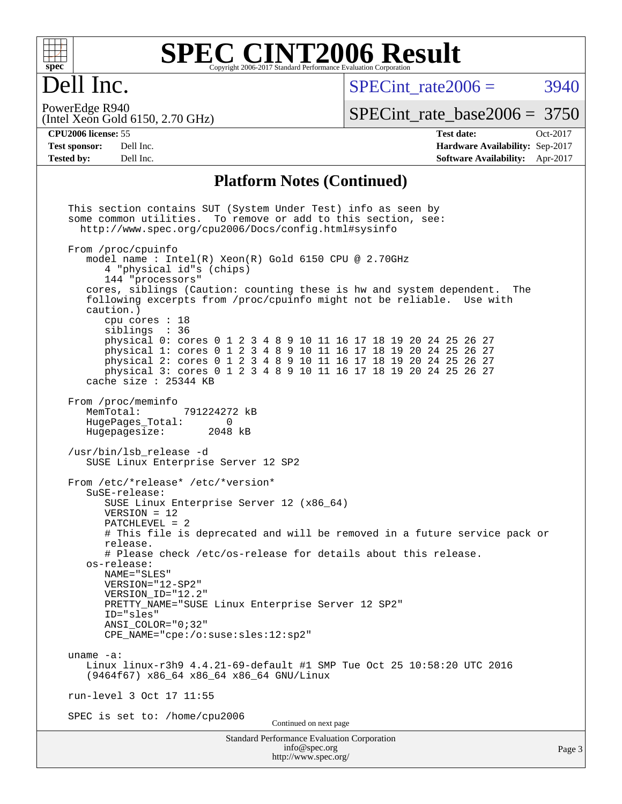

#### **[SPEC CINT2006 Result](http://www.spec.org/auto/cpu2006/Docs/result-fields.html#SPECCINT2006Result)** Copyright 2006-2017 Standard Performance Evaluation Corporation

# Dell Inc.

SPECint rate $2006 = 3940$ 

(Intel Xeon Gold 6150, 2.70 GHz) PowerEdge R940

[SPECint\\_rate\\_base2006 =](http://www.spec.org/auto/cpu2006/Docs/result-fields.html#SPECintratebase2006) 3750

**[CPU2006 license:](http://www.spec.org/auto/cpu2006/Docs/result-fields.html#CPU2006license)** 55 **[Test date:](http://www.spec.org/auto/cpu2006/Docs/result-fields.html#Testdate)** Oct-2017 **[Test sponsor:](http://www.spec.org/auto/cpu2006/Docs/result-fields.html#Testsponsor)** Dell Inc. **[Hardware Availability:](http://www.spec.org/auto/cpu2006/Docs/result-fields.html#HardwareAvailability)** Sep-2017 **[Tested by:](http://www.spec.org/auto/cpu2006/Docs/result-fields.html#Testedby)** Dell Inc. **[Software Availability:](http://www.spec.org/auto/cpu2006/Docs/result-fields.html#SoftwareAvailability)** Apr-2017

#### **[Platform Notes \(Continued\)](http://www.spec.org/auto/cpu2006/Docs/result-fields.html#PlatformNotes)**

Standard Performance Evaluation Corporation [info@spec.org](mailto:info@spec.org) <http://www.spec.org/> Page 3 This section contains SUT (System Under Test) info as seen by some common utilities. To remove or add to this section, see: <http://www.spec.org/cpu2006/Docs/config.html#sysinfo> From /proc/cpuinfo model name : Intel(R) Xeon(R) Gold 6150 CPU @ 2.70GHz 4 "physical id"s (chips) 144 "processors" cores, siblings (Caution: counting these is hw and system dependent. The following excerpts from /proc/cpuinfo might not be reliable. Use with caution.) cpu cores : 18 siblings : 36 physical 0: cores 0 1 2 3 4 8 9 10 11 16 17 18 19 20 24 25 26 27 physical 1: cores 0 1 2 3 4 8 9 10 11 16 17 18 19 20 24 25 26 27 physical 2: cores 0 1 2 3 4 8 9 10 11 16 17 18 19 20 24 25 26 27 physical 3: cores 0 1 2 3 4 8 9 10 11 16 17 18 19 20 24 25 26 27 cache size : 25344 KB From /proc/meminfo MemTotal: 791224272 kB HugePages\_Total: 0 Hugepagesize: 2048 kB /usr/bin/lsb\_release -d SUSE Linux Enterprise Server 12 SP2 From /etc/\*release\* /etc/\*version\* SuSE-release: SUSE Linux Enterprise Server 12 (x86\_64) VERSION = 12 PATCHLEVEL = 2 # This file is deprecated and will be removed in a future service pack or release. # Please check /etc/os-release for details about this release. os-release: NAME="SLES" VERSION="12-SP2" VERSION\_ID="12.2" PRETTY NAME="SUSE Linux Enterprise Server 12 SP2" ID="sles" ANSI\_COLOR="0;32" CPE\_NAME="cpe:/o:suse:sles:12:sp2" uname -a: Linux linux-r3h9 4.4.21-69-default #1 SMP Tue Oct 25 10:58:20 UTC 2016 (9464f67) x86\_64 x86\_64 x86\_64 GNU/Linux run-level 3 Oct 17 11:55 SPEC is set to: /home/cpu2006 Continued on next page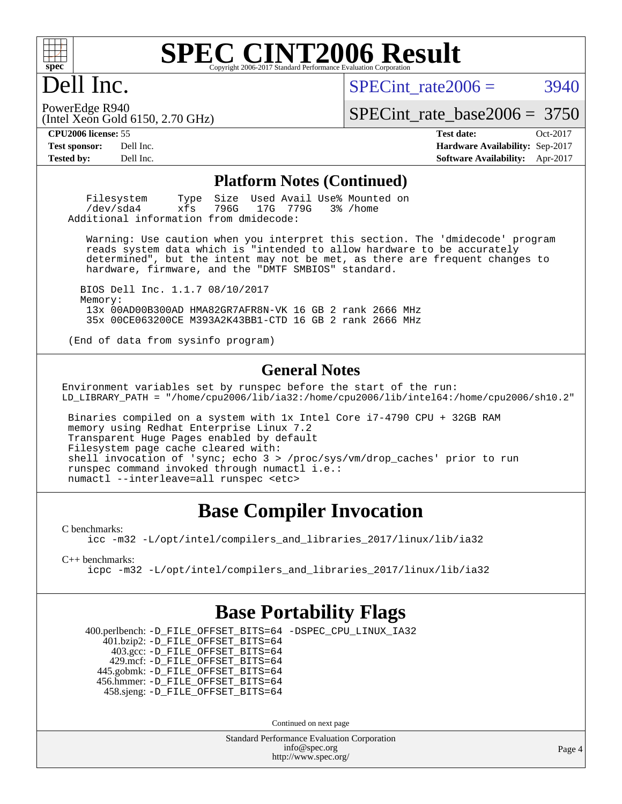

# Dell Inc.

SPECint rate $2006 = 3940$ 

(Intel Xeon Gold 6150, 2.70 GHz) PowerEdge R940

[SPECint\\_rate\\_base2006 =](http://www.spec.org/auto/cpu2006/Docs/result-fields.html#SPECintratebase2006) 3750

**[CPU2006 license:](http://www.spec.org/auto/cpu2006/Docs/result-fields.html#CPU2006license)** 55 **[Test date:](http://www.spec.org/auto/cpu2006/Docs/result-fields.html#Testdate)** Oct-2017 **[Test sponsor:](http://www.spec.org/auto/cpu2006/Docs/result-fields.html#Testsponsor)** Dell Inc. **[Hardware Availability:](http://www.spec.org/auto/cpu2006/Docs/result-fields.html#HardwareAvailability)** Sep-2017 **[Tested by:](http://www.spec.org/auto/cpu2006/Docs/result-fields.html#Testedby)** Dell Inc. **[Software Availability:](http://www.spec.org/auto/cpu2006/Docs/result-fields.html#SoftwareAvailability)** Apr-2017

#### **[Platform Notes \(Continued\)](http://www.spec.org/auto/cpu2006/Docs/result-fields.html#PlatformNotes)**

Filesystem Type Size Used Avail Use% Mounted on<br>
/dev/sda4 xfs 796G 17G 779G 3% /home 17G 779G Additional information from dmidecode:

 Warning: Use caution when you interpret this section. The 'dmidecode' program reads system data which is "intended to allow hardware to be accurately determined", but the intent may not be met, as there are frequent changes to hardware, firmware, and the "DMTF SMBIOS" standard.

 BIOS Dell Inc. 1.1.7 08/10/2017 Memory: 13x 00AD00B300AD HMA82GR7AFR8N-VK 16 GB 2 rank 2666 MHz 35x 00CE063200CE M393A2K43BB1-CTD 16 GB 2 rank 2666 MHz

(End of data from sysinfo program)

#### **[General Notes](http://www.spec.org/auto/cpu2006/Docs/result-fields.html#GeneralNotes)**

Environment variables set by runspec before the start of the run: LD\_LIBRARY\_PATH = "/home/cpu2006/lib/ia32:/home/cpu2006/lib/intel64:/home/cpu2006/sh10.2"

 Binaries compiled on a system with 1x Intel Core i7-4790 CPU + 32GB RAM memory using Redhat Enterprise Linux 7.2 Transparent Huge Pages enabled by default Filesystem page cache cleared with: shell invocation of 'sync; echo 3 > /proc/sys/vm/drop\_caches' prior to run runspec command invoked through numactl i.e.: numactl --interleave=all runspec <etc>

### **[Base Compiler Invocation](http://www.spec.org/auto/cpu2006/Docs/result-fields.html#BaseCompilerInvocation)**

[C benchmarks](http://www.spec.org/auto/cpu2006/Docs/result-fields.html#Cbenchmarks):

[icc -m32 -L/opt/intel/compilers\\_and\\_libraries\\_2017/linux/lib/ia32](http://www.spec.org/cpu2006/results/res2017q4/cpu2006-20171114-50544.flags.html#user_CCbase_intel_icc_c29f3ff5a7ed067b11e4ec10a03f03ae)

[C++ benchmarks:](http://www.spec.org/auto/cpu2006/Docs/result-fields.html#CXXbenchmarks)

[icpc -m32 -L/opt/intel/compilers\\_and\\_libraries\\_2017/linux/lib/ia32](http://www.spec.org/cpu2006/results/res2017q4/cpu2006-20171114-50544.flags.html#user_CXXbase_intel_icpc_8c35c7808b62dab9ae41a1aa06361b6b)

#### **[Base Portability Flags](http://www.spec.org/auto/cpu2006/Docs/result-fields.html#BasePortabilityFlags)**

 400.perlbench: [-D\\_FILE\\_OFFSET\\_BITS=64](http://www.spec.org/cpu2006/results/res2017q4/cpu2006-20171114-50544.flags.html#user_basePORTABILITY400_perlbench_file_offset_bits_64_438cf9856305ebd76870a2c6dc2689ab) [-DSPEC\\_CPU\\_LINUX\\_IA32](http://www.spec.org/cpu2006/results/res2017q4/cpu2006-20171114-50544.flags.html#b400.perlbench_baseCPORTABILITY_DSPEC_CPU_LINUX_IA32) 401.bzip2: [-D\\_FILE\\_OFFSET\\_BITS=64](http://www.spec.org/cpu2006/results/res2017q4/cpu2006-20171114-50544.flags.html#user_basePORTABILITY401_bzip2_file_offset_bits_64_438cf9856305ebd76870a2c6dc2689ab) 403.gcc: [-D\\_FILE\\_OFFSET\\_BITS=64](http://www.spec.org/cpu2006/results/res2017q4/cpu2006-20171114-50544.flags.html#user_basePORTABILITY403_gcc_file_offset_bits_64_438cf9856305ebd76870a2c6dc2689ab) 429.mcf: [-D\\_FILE\\_OFFSET\\_BITS=64](http://www.spec.org/cpu2006/results/res2017q4/cpu2006-20171114-50544.flags.html#user_basePORTABILITY429_mcf_file_offset_bits_64_438cf9856305ebd76870a2c6dc2689ab) 445.gobmk: [-D\\_FILE\\_OFFSET\\_BITS=64](http://www.spec.org/cpu2006/results/res2017q4/cpu2006-20171114-50544.flags.html#user_basePORTABILITY445_gobmk_file_offset_bits_64_438cf9856305ebd76870a2c6dc2689ab) 456.hmmer: [-D\\_FILE\\_OFFSET\\_BITS=64](http://www.spec.org/cpu2006/results/res2017q4/cpu2006-20171114-50544.flags.html#user_basePORTABILITY456_hmmer_file_offset_bits_64_438cf9856305ebd76870a2c6dc2689ab) 458.sjeng: [-D\\_FILE\\_OFFSET\\_BITS=64](http://www.spec.org/cpu2006/results/res2017q4/cpu2006-20171114-50544.flags.html#user_basePORTABILITY458_sjeng_file_offset_bits_64_438cf9856305ebd76870a2c6dc2689ab)

Continued on next page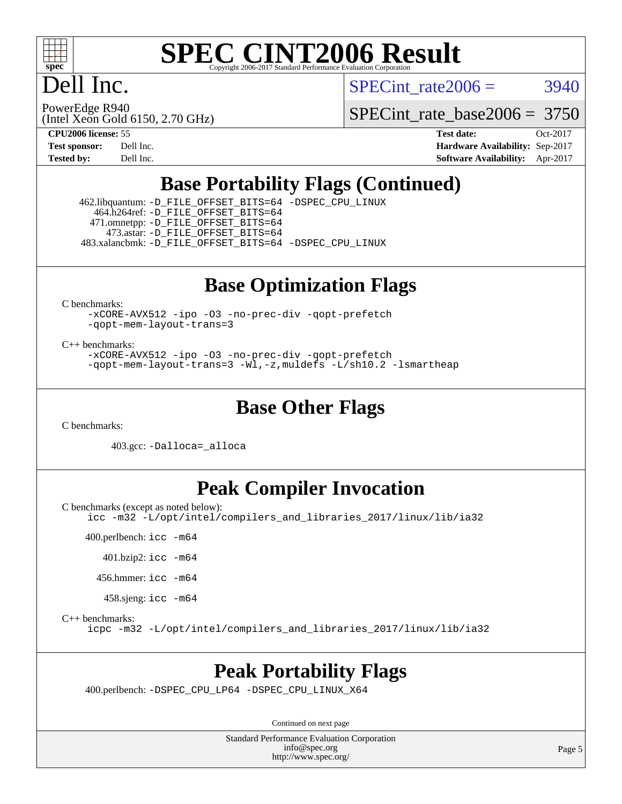

# Dell Inc.

SPECint rate $2006 = 3940$ 

PowerEdge R940

(Intel Xeon Gold 6150, 2.70 GHz)

[SPECint\\_rate\\_base2006 =](http://www.spec.org/auto/cpu2006/Docs/result-fields.html#SPECintratebase2006) 3750

**[CPU2006 license:](http://www.spec.org/auto/cpu2006/Docs/result-fields.html#CPU2006license)** 55 **[Test date:](http://www.spec.org/auto/cpu2006/Docs/result-fields.html#Testdate)** Oct-2017 **[Test sponsor:](http://www.spec.org/auto/cpu2006/Docs/result-fields.html#Testsponsor)** Dell Inc. **[Hardware Availability:](http://www.spec.org/auto/cpu2006/Docs/result-fields.html#HardwareAvailability)** Sep-2017 **[Tested by:](http://www.spec.org/auto/cpu2006/Docs/result-fields.html#Testedby)** Dell Inc. **[Software Availability:](http://www.spec.org/auto/cpu2006/Docs/result-fields.html#SoftwareAvailability)** Apr-2017

### **[Base Portability Flags \(Continued\)](http://www.spec.org/auto/cpu2006/Docs/result-fields.html#BasePortabilityFlags)**

 462.libquantum: [-D\\_FILE\\_OFFSET\\_BITS=64](http://www.spec.org/cpu2006/results/res2017q4/cpu2006-20171114-50544.flags.html#user_basePORTABILITY462_libquantum_file_offset_bits_64_438cf9856305ebd76870a2c6dc2689ab) [-DSPEC\\_CPU\\_LINUX](http://www.spec.org/cpu2006/results/res2017q4/cpu2006-20171114-50544.flags.html#b462.libquantum_baseCPORTABILITY_DSPEC_CPU_LINUX) 464.h264ref: [-D\\_FILE\\_OFFSET\\_BITS=64](http://www.spec.org/cpu2006/results/res2017q4/cpu2006-20171114-50544.flags.html#user_basePORTABILITY464_h264ref_file_offset_bits_64_438cf9856305ebd76870a2c6dc2689ab) 471.omnetpp: [-D\\_FILE\\_OFFSET\\_BITS=64](http://www.spec.org/cpu2006/results/res2017q4/cpu2006-20171114-50544.flags.html#user_basePORTABILITY471_omnetpp_file_offset_bits_64_438cf9856305ebd76870a2c6dc2689ab) 473.astar: [-D\\_FILE\\_OFFSET\\_BITS=64](http://www.spec.org/cpu2006/results/res2017q4/cpu2006-20171114-50544.flags.html#user_basePORTABILITY473_astar_file_offset_bits_64_438cf9856305ebd76870a2c6dc2689ab) 483.xalancbmk: [-D\\_FILE\\_OFFSET\\_BITS=64](http://www.spec.org/cpu2006/results/res2017q4/cpu2006-20171114-50544.flags.html#user_basePORTABILITY483_xalancbmk_file_offset_bits_64_438cf9856305ebd76870a2c6dc2689ab) [-DSPEC\\_CPU\\_LINUX](http://www.spec.org/cpu2006/results/res2017q4/cpu2006-20171114-50544.flags.html#b483.xalancbmk_baseCXXPORTABILITY_DSPEC_CPU_LINUX)

#### **[Base Optimization Flags](http://www.spec.org/auto/cpu2006/Docs/result-fields.html#BaseOptimizationFlags)**

[C benchmarks](http://www.spec.org/auto/cpu2006/Docs/result-fields.html#Cbenchmarks):

[-xCORE-AVX512](http://www.spec.org/cpu2006/results/res2017q4/cpu2006-20171114-50544.flags.html#user_CCbase_f-xCORE-AVX512) [-ipo](http://www.spec.org/cpu2006/results/res2017q4/cpu2006-20171114-50544.flags.html#user_CCbase_f-ipo) [-O3](http://www.spec.org/cpu2006/results/res2017q4/cpu2006-20171114-50544.flags.html#user_CCbase_f-O3) [-no-prec-div](http://www.spec.org/cpu2006/results/res2017q4/cpu2006-20171114-50544.flags.html#user_CCbase_f-no-prec-div) [-qopt-prefetch](http://www.spec.org/cpu2006/results/res2017q4/cpu2006-20171114-50544.flags.html#user_CCbase_f-qopt-prefetch) [-qopt-mem-layout-trans=3](http://www.spec.org/cpu2006/results/res2017q4/cpu2006-20171114-50544.flags.html#user_CCbase_f-qopt-mem-layout-trans_170f5be61cd2cedc9b54468c59262d5d)

[C++ benchmarks:](http://www.spec.org/auto/cpu2006/Docs/result-fields.html#CXXbenchmarks)

[-xCORE-AVX512](http://www.spec.org/cpu2006/results/res2017q4/cpu2006-20171114-50544.flags.html#user_CXXbase_f-xCORE-AVX512) [-ipo](http://www.spec.org/cpu2006/results/res2017q4/cpu2006-20171114-50544.flags.html#user_CXXbase_f-ipo) [-O3](http://www.spec.org/cpu2006/results/res2017q4/cpu2006-20171114-50544.flags.html#user_CXXbase_f-O3) [-no-prec-div](http://www.spec.org/cpu2006/results/res2017q4/cpu2006-20171114-50544.flags.html#user_CXXbase_f-no-prec-div) [-qopt-prefetch](http://www.spec.org/cpu2006/results/res2017q4/cpu2006-20171114-50544.flags.html#user_CXXbase_f-qopt-prefetch) [-qopt-mem-layout-trans=3](http://www.spec.org/cpu2006/results/res2017q4/cpu2006-20171114-50544.flags.html#user_CXXbase_f-qopt-mem-layout-trans_170f5be61cd2cedc9b54468c59262d5d) [-Wl,-z,muldefs](http://www.spec.org/cpu2006/results/res2017q4/cpu2006-20171114-50544.flags.html#user_CXXbase_link_force_multiple1_74079c344b956b9658436fd1b6dd3a8a) [-L/sh10.2 -lsmartheap](http://www.spec.org/cpu2006/results/res2017q4/cpu2006-20171114-50544.flags.html#user_CXXbase_SmartHeap_b831f2d313e2fffa6dfe3f00ffc1f1c0)

#### **[Base Other Flags](http://www.spec.org/auto/cpu2006/Docs/result-fields.html#BaseOtherFlags)**

[C benchmarks](http://www.spec.org/auto/cpu2006/Docs/result-fields.html#Cbenchmarks):

403.gcc: [-Dalloca=\\_alloca](http://www.spec.org/cpu2006/results/res2017q4/cpu2006-20171114-50544.flags.html#b403.gcc_baseEXTRA_CFLAGS_Dalloca_be3056838c12de2578596ca5467af7f3)

### **[Peak Compiler Invocation](http://www.spec.org/auto/cpu2006/Docs/result-fields.html#PeakCompilerInvocation)**

[C benchmarks \(except as noted below\)](http://www.spec.org/auto/cpu2006/Docs/result-fields.html#Cbenchmarksexceptasnotedbelow):

[icc -m32 -L/opt/intel/compilers\\_and\\_libraries\\_2017/linux/lib/ia32](http://www.spec.org/cpu2006/results/res2017q4/cpu2006-20171114-50544.flags.html#user_CCpeak_intel_icc_c29f3ff5a7ed067b11e4ec10a03f03ae)

400.perlbench: [icc -m64](http://www.spec.org/cpu2006/results/res2017q4/cpu2006-20171114-50544.flags.html#user_peakCCLD400_perlbench_intel_icc_64bit_bda6cc9af1fdbb0edc3795bac97ada53)

401.bzip2: [icc -m64](http://www.spec.org/cpu2006/results/res2017q4/cpu2006-20171114-50544.flags.html#user_peakCCLD401_bzip2_intel_icc_64bit_bda6cc9af1fdbb0edc3795bac97ada53)

456.hmmer: [icc -m64](http://www.spec.org/cpu2006/results/res2017q4/cpu2006-20171114-50544.flags.html#user_peakCCLD456_hmmer_intel_icc_64bit_bda6cc9af1fdbb0edc3795bac97ada53)

458.sjeng: [icc -m64](http://www.spec.org/cpu2006/results/res2017q4/cpu2006-20171114-50544.flags.html#user_peakCCLD458_sjeng_intel_icc_64bit_bda6cc9af1fdbb0edc3795bac97ada53)

[C++ benchmarks:](http://www.spec.org/auto/cpu2006/Docs/result-fields.html#CXXbenchmarks)

[icpc -m32 -L/opt/intel/compilers\\_and\\_libraries\\_2017/linux/lib/ia32](http://www.spec.org/cpu2006/results/res2017q4/cpu2006-20171114-50544.flags.html#user_CXXpeak_intel_icpc_8c35c7808b62dab9ae41a1aa06361b6b)

#### **[Peak Portability Flags](http://www.spec.org/auto/cpu2006/Docs/result-fields.html#PeakPortabilityFlags)**

400.perlbench: [-DSPEC\\_CPU\\_LP64](http://www.spec.org/cpu2006/results/res2017q4/cpu2006-20171114-50544.flags.html#b400.perlbench_peakCPORTABILITY_DSPEC_CPU_LP64) [-DSPEC\\_CPU\\_LINUX\\_X64](http://www.spec.org/cpu2006/results/res2017q4/cpu2006-20171114-50544.flags.html#b400.perlbench_peakCPORTABILITY_DSPEC_CPU_LINUX_X64)

Continued on next page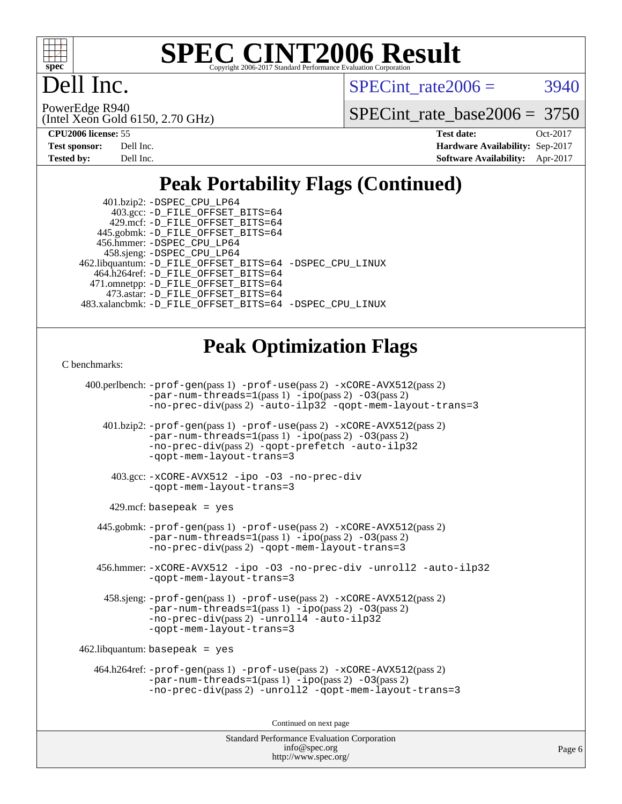

# ell Inc.

SPECint rate $2006 = 3940$ 

(Intel Xeon Gold 6150, 2.70 GHz) PowerEdge R940

[SPECint\\_rate\\_base2006 =](http://www.spec.org/auto/cpu2006/Docs/result-fields.html#SPECintratebase2006) 3750

| <b>Test sponsor:</b> | Dell Inc. |
|----------------------|-----------|
| <b>Tested by:</b>    | Dell Inc. |

**[CPU2006 license:](http://www.spec.org/auto/cpu2006/Docs/result-fields.html#CPU2006license)** 55 **[Test date:](http://www.spec.org/auto/cpu2006/Docs/result-fields.html#Testdate)** Oct-2017 **[Hardware Availability:](http://www.spec.org/auto/cpu2006/Docs/result-fields.html#HardwareAvailability)** Sep-2017 **[Software Availability:](http://www.spec.org/auto/cpu2006/Docs/result-fields.html#SoftwareAvailability)** Apr-2017

## **[Peak Portability Flags \(Continued\)](http://www.spec.org/auto/cpu2006/Docs/result-fields.html#PeakPortabilityFlags)**

 401.bzip2: [-DSPEC\\_CPU\\_LP64](http://www.spec.org/cpu2006/results/res2017q4/cpu2006-20171114-50544.flags.html#suite_peakCPORTABILITY401_bzip2_DSPEC_CPU_LP64) 403.gcc: [-D\\_FILE\\_OFFSET\\_BITS=64](http://www.spec.org/cpu2006/results/res2017q4/cpu2006-20171114-50544.flags.html#user_peakPORTABILITY403_gcc_file_offset_bits_64_438cf9856305ebd76870a2c6dc2689ab) 429.mcf: [-D\\_FILE\\_OFFSET\\_BITS=64](http://www.spec.org/cpu2006/results/res2017q4/cpu2006-20171114-50544.flags.html#user_peakPORTABILITY429_mcf_file_offset_bits_64_438cf9856305ebd76870a2c6dc2689ab) 445.gobmk: [-D\\_FILE\\_OFFSET\\_BITS=64](http://www.spec.org/cpu2006/results/res2017q4/cpu2006-20171114-50544.flags.html#user_peakPORTABILITY445_gobmk_file_offset_bits_64_438cf9856305ebd76870a2c6dc2689ab) 456.hmmer: [-DSPEC\\_CPU\\_LP64](http://www.spec.org/cpu2006/results/res2017q4/cpu2006-20171114-50544.flags.html#suite_peakCPORTABILITY456_hmmer_DSPEC_CPU_LP64) 458.sjeng: [-DSPEC\\_CPU\\_LP64](http://www.spec.org/cpu2006/results/res2017q4/cpu2006-20171114-50544.flags.html#suite_peakCPORTABILITY458_sjeng_DSPEC_CPU_LP64) 462.libquantum: [-D\\_FILE\\_OFFSET\\_BITS=64](http://www.spec.org/cpu2006/results/res2017q4/cpu2006-20171114-50544.flags.html#user_peakPORTABILITY462_libquantum_file_offset_bits_64_438cf9856305ebd76870a2c6dc2689ab) [-DSPEC\\_CPU\\_LINUX](http://www.spec.org/cpu2006/results/res2017q4/cpu2006-20171114-50544.flags.html#b462.libquantum_peakCPORTABILITY_DSPEC_CPU_LINUX) 464.h264ref: [-D\\_FILE\\_OFFSET\\_BITS=64](http://www.spec.org/cpu2006/results/res2017q4/cpu2006-20171114-50544.flags.html#user_peakPORTABILITY464_h264ref_file_offset_bits_64_438cf9856305ebd76870a2c6dc2689ab) 471.omnetpp: [-D\\_FILE\\_OFFSET\\_BITS=64](http://www.spec.org/cpu2006/results/res2017q4/cpu2006-20171114-50544.flags.html#user_peakPORTABILITY471_omnetpp_file_offset_bits_64_438cf9856305ebd76870a2c6dc2689ab) 473.astar: [-D\\_FILE\\_OFFSET\\_BITS=64](http://www.spec.org/cpu2006/results/res2017q4/cpu2006-20171114-50544.flags.html#user_peakPORTABILITY473_astar_file_offset_bits_64_438cf9856305ebd76870a2c6dc2689ab) 483.xalancbmk: [-D\\_FILE\\_OFFSET\\_BITS=64](http://www.spec.org/cpu2006/results/res2017q4/cpu2006-20171114-50544.flags.html#user_peakPORTABILITY483_xalancbmk_file_offset_bits_64_438cf9856305ebd76870a2c6dc2689ab) [-DSPEC\\_CPU\\_LINUX](http://www.spec.org/cpu2006/results/res2017q4/cpu2006-20171114-50544.flags.html#b483.xalancbmk_peakCXXPORTABILITY_DSPEC_CPU_LINUX)

## **[Peak Optimization Flags](http://www.spec.org/auto/cpu2006/Docs/result-fields.html#PeakOptimizationFlags)**

#### [C benchmarks](http://www.spec.org/auto/cpu2006/Docs/result-fields.html#Cbenchmarks):

 400.perlbench: [-prof-gen](http://www.spec.org/cpu2006/results/res2017q4/cpu2006-20171114-50544.flags.html#user_peakPASS1_CFLAGSPASS1_LDCFLAGS400_perlbench_prof_gen_e43856698f6ca7b7e442dfd80e94a8fc)(pass 1) [-prof-use](http://www.spec.org/cpu2006/results/res2017q4/cpu2006-20171114-50544.flags.html#user_peakPASS2_CFLAGSPASS2_LDCFLAGS400_perlbench_prof_use_bccf7792157ff70d64e32fe3e1250b55)(pass 2) [-xCORE-AVX512](http://www.spec.org/cpu2006/results/res2017q4/cpu2006-20171114-50544.flags.html#user_peakPASS2_CFLAGSPASS2_LDCFLAGS400_perlbench_f-xCORE-AVX512)(pass 2) [-par-num-threads=1](http://www.spec.org/cpu2006/results/res2017q4/cpu2006-20171114-50544.flags.html#user_peakPASS1_CFLAGSPASS1_LDCFLAGS400_perlbench_par_num_threads_786a6ff141b4e9e90432e998842df6c2)(pass 1) [-ipo](http://www.spec.org/cpu2006/results/res2017q4/cpu2006-20171114-50544.flags.html#user_peakPASS2_CFLAGSPASS2_LDCFLAGS400_perlbench_f-ipo)(pass 2) [-O3](http://www.spec.org/cpu2006/results/res2017q4/cpu2006-20171114-50544.flags.html#user_peakPASS2_CFLAGSPASS2_LDCFLAGS400_perlbench_f-O3)(pass 2) [-no-prec-div](http://www.spec.org/cpu2006/results/res2017q4/cpu2006-20171114-50544.flags.html#user_peakPASS2_CFLAGSPASS2_LDCFLAGS400_perlbench_f-no-prec-div)(pass 2) [-auto-ilp32](http://www.spec.org/cpu2006/results/res2017q4/cpu2006-20171114-50544.flags.html#user_peakCOPTIMIZE400_perlbench_f-auto-ilp32) [-qopt-mem-layout-trans=3](http://www.spec.org/cpu2006/results/res2017q4/cpu2006-20171114-50544.flags.html#user_peakCOPTIMIZE400_perlbench_f-qopt-mem-layout-trans_170f5be61cd2cedc9b54468c59262d5d) 401.bzip2: [-prof-gen](http://www.spec.org/cpu2006/results/res2017q4/cpu2006-20171114-50544.flags.html#user_peakPASS1_CFLAGSPASS1_LDCFLAGS401_bzip2_prof_gen_e43856698f6ca7b7e442dfd80e94a8fc)(pass 1) [-prof-use](http://www.spec.org/cpu2006/results/res2017q4/cpu2006-20171114-50544.flags.html#user_peakPASS2_CFLAGSPASS2_LDCFLAGS401_bzip2_prof_use_bccf7792157ff70d64e32fe3e1250b55)(pass 2) [-xCORE-AVX512](http://www.spec.org/cpu2006/results/res2017q4/cpu2006-20171114-50544.flags.html#user_peakPASS2_CFLAGSPASS2_LDCFLAGS401_bzip2_f-xCORE-AVX512)(pass 2)  $-par-num-threads=1(pass 1) -ipo(pass 2) -O3(pass 2)$  $-par-num-threads=1(pass 1) -ipo(pass 2) -O3(pass 2)$  $-par-num-threads=1(pass 1) -ipo(pass 2) -O3(pass 2)$  $-par-num-threads=1(pass 1) -ipo(pass 2) -O3(pass 2)$  $-par-num-threads=1(pass 1) -ipo(pass 2) -O3(pass 2)$  $-par-num-threads=1(pass 1) -ipo(pass 2) -O3(pass 2)$ [-no-prec-div](http://www.spec.org/cpu2006/results/res2017q4/cpu2006-20171114-50544.flags.html#user_peakPASS2_CFLAGSPASS2_LDCFLAGS401_bzip2_f-no-prec-div)(pass 2) [-qopt-prefetch](http://www.spec.org/cpu2006/results/res2017q4/cpu2006-20171114-50544.flags.html#user_peakCOPTIMIZE401_bzip2_f-qopt-prefetch) [-auto-ilp32](http://www.spec.org/cpu2006/results/res2017q4/cpu2006-20171114-50544.flags.html#user_peakCOPTIMIZE401_bzip2_f-auto-ilp32) [-qopt-mem-layout-trans=3](http://www.spec.org/cpu2006/results/res2017q4/cpu2006-20171114-50544.flags.html#user_peakCOPTIMIZE401_bzip2_f-qopt-mem-layout-trans_170f5be61cd2cedc9b54468c59262d5d) 403.gcc: [-xCORE-AVX512](http://www.spec.org/cpu2006/results/res2017q4/cpu2006-20171114-50544.flags.html#user_peakOPTIMIZE403_gcc_f-xCORE-AVX512) [-ipo](http://www.spec.org/cpu2006/results/res2017q4/cpu2006-20171114-50544.flags.html#user_peakOPTIMIZE403_gcc_f-ipo) [-O3](http://www.spec.org/cpu2006/results/res2017q4/cpu2006-20171114-50544.flags.html#user_peakOPTIMIZE403_gcc_f-O3) [-no-prec-div](http://www.spec.org/cpu2006/results/res2017q4/cpu2006-20171114-50544.flags.html#user_peakOPTIMIZE403_gcc_f-no-prec-div) [-qopt-mem-layout-trans=3](http://www.spec.org/cpu2006/results/res2017q4/cpu2006-20171114-50544.flags.html#user_peakCOPTIMIZE403_gcc_f-qopt-mem-layout-trans_170f5be61cd2cedc9b54468c59262d5d)  $429$ .mcf: basepeak = yes 445.gobmk: [-prof-gen](http://www.spec.org/cpu2006/results/res2017q4/cpu2006-20171114-50544.flags.html#user_peakPASS1_CFLAGSPASS1_LDCFLAGS445_gobmk_prof_gen_e43856698f6ca7b7e442dfd80e94a8fc)(pass 1) [-prof-use](http://www.spec.org/cpu2006/results/res2017q4/cpu2006-20171114-50544.flags.html#user_peakPASS2_CFLAGSPASS2_LDCFLAGSPASS2_LDFLAGS445_gobmk_prof_use_bccf7792157ff70d64e32fe3e1250b55)(pass 2) [-xCORE-AVX512](http://www.spec.org/cpu2006/results/res2017q4/cpu2006-20171114-50544.flags.html#user_peakPASS2_CFLAGSPASS2_LDCFLAGSPASS2_LDFLAGS445_gobmk_f-xCORE-AVX512)(pass 2)  $-par-num-threads=1(pass 1) -ipo(pass 2) -O3(pass 2)$  $-par-num-threads=1(pass 1) -ipo(pass 2) -O3(pass 2)$  $-par-num-threads=1(pass 1) -ipo(pass 2) -O3(pass 2)$  $-par-num-threads=1(pass 1) -ipo(pass 2) -O3(pass 2)$  $-par-num-threads=1(pass 1) -ipo(pass 2) -O3(pass 2)$  $-par-num-threads=1(pass 1) -ipo(pass 2) -O3(pass 2)$ [-no-prec-div](http://www.spec.org/cpu2006/results/res2017q4/cpu2006-20171114-50544.flags.html#user_peakPASS2_LDCFLAGS445_gobmk_f-no-prec-div)(pass 2) [-qopt-mem-layout-trans=3](http://www.spec.org/cpu2006/results/res2017q4/cpu2006-20171114-50544.flags.html#user_peakCOPTIMIZE445_gobmk_f-qopt-mem-layout-trans_170f5be61cd2cedc9b54468c59262d5d) 456.hmmer: [-xCORE-AVX512](http://www.spec.org/cpu2006/results/res2017q4/cpu2006-20171114-50544.flags.html#user_peakOPTIMIZE456_hmmer_f-xCORE-AVX512) [-ipo](http://www.spec.org/cpu2006/results/res2017q4/cpu2006-20171114-50544.flags.html#user_peakOPTIMIZE456_hmmer_f-ipo) [-O3](http://www.spec.org/cpu2006/results/res2017q4/cpu2006-20171114-50544.flags.html#user_peakOPTIMIZE456_hmmer_f-O3) [-no-prec-div](http://www.spec.org/cpu2006/results/res2017q4/cpu2006-20171114-50544.flags.html#user_peakOPTIMIZE456_hmmer_f-no-prec-div) [-unroll2](http://www.spec.org/cpu2006/results/res2017q4/cpu2006-20171114-50544.flags.html#user_peakCOPTIMIZE456_hmmer_f-unroll_784dae83bebfb236979b41d2422d7ec2) [-auto-ilp32](http://www.spec.org/cpu2006/results/res2017q4/cpu2006-20171114-50544.flags.html#user_peakCOPTIMIZE456_hmmer_f-auto-ilp32) [-qopt-mem-layout-trans=3](http://www.spec.org/cpu2006/results/res2017q4/cpu2006-20171114-50544.flags.html#user_peakCOPTIMIZE456_hmmer_f-qopt-mem-layout-trans_170f5be61cd2cedc9b54468c59262d5d) 458.sjeng: [-prof-gen](http://www.spec.org/cpu2006/results/res2017q4/cpu2006-20171114-50544.flags.html#user_peakPASS1_CFLAGSPASS1_LDCFLAGS458_sjeng_prof_gen_e43856698f6ca7b7e442dfd80e94a8fc)(pass 1) [-prof-use](http://www.spec.org/cpu2006/results/res2017q4/cpu2006-20171114-50544.flags.html#user_peakPASS2_CFLAGSPASS2_LDCFLAGS458_sjeng_prof_use_bccf7792157ff70d64e32fe3e1250b55)(pass 2) [-xCORE-AVX512](http://www.spec.org/cpu2006/results/res2017q4/cpu2006-20171114-50544.flags.html#user_peakPASS2_CFLAGSPASS2_LDCFLAGS458_sjeng_f-xCORE-AVX512)(pass 2) [-par-num-threads=1](http://www.spec.org/cpu2006/results/res2017q4/cpu2006-20171114-50544.flags.html#user_peakPASS1_CFLAGSPASS1_LDCFLAGS458_sjeng_par_num_threads_786a6ff141b4e9e90432e998842df6c2)(pass 1) [-ipo](http://www.spec.org/cpu2006/results/res2017q4/cpu2006-20171114-50544.flags.html#user_peakPASS2_CFLAGSPASS2_LDCFLAGS458_sjeng_f-ipo)(pass 2) [-O3](http://www.spec.org/cpu2006/results/res2017q4/cpu2006-20171114-50544.flags.html#user_peakPASS2_CFLAGSPASS2_LDCFLAGS458_sjeng_f-O3)(pass 2) [-no-prec-div](http://www.spec.org/cpu2006/results/res2017q4/cpu2006-20171114-50544.flags.html#user_peakPASS2_CFLAGSPASS2_LDCFLAGS458_sjeng_f-no-prec-div)(pass 2) [-unroll4](http://www.spec.org/cpu2006/results/res2017q4/cpu2006-20171114-50544.flags.html#user_peakCOPTIMIZE458_sjeng_f-unroll_4e5e4ed65b7fd20bdcd365bec371b81f) [-auto-ilp32](http://www.spec.org/cpu2006/results/res2017q4/cpu2006-20171114-50544.flags.html#user_peakCOPTIMIZE458_sjeng_f-auto-ilp32) [-qopt-mem-layout-trans=3](http://www.spec.org/cpu2006/results/res2017q4/cpu2006-20171114-50544.flags.html#user_peakCOPTIMIZE458_sjeng_f-qopt-mem-layout-trans_170f5be61cd2cedc9b54468c59262d5d) 462.libquantum: basepeak = yes 464.h264ref: [-prof-gen](http://www.spec.org/cpu2006/results/res2017q4/cpu2006-20171114-50544.flags.html#user_peakPASS1_CFLAGSPASS1_LDCFLAGS464_h264ref_prof_gen_e43856698f6ca7b7e442dfd80e94a8fc)(pass 1) [-prof-use](http://www.spec.org/cpu2006/results/res2017q4/cpu2006-20171114-50544.flags.html#user_peakPASS2_CFLAGSPASS2_LDCFLAGS464_h264ref_prof_use_bccf7792157ff70d64e32fe3e1250b55)(pass 2) [-xCORE-AVX512](http://www.spec.org/cpu2006/results/res2017q4/cpu2006-20171114-50544.flags.html#user_peakPASS2_CFLAGSPASS2_LDCFLAGS464_h264ref_f-xCORE-AVX512)(pass 2) [-par-num-threads=1](http://www.spec.org/cpu2006/results/res2017q4/cpu2006-20171114-50544.flags.html#user_peakPASS1_CFLAGSPASS1_LDCFLAGS464_h264ref_par_num_threads_786a6ff141b4e9e90432e998842df6c2)(pass 1) [-ipo](http://www.spec.org/cpu2006/results/res2017q4/cpu2006-20171114-50544.flags.html#user_peakPASS2_CFLAGSPASS2_LDCFLAGS464_h264ref_f-ipo)(pass 2) [-O3](http://www.spec.org/cpu2006/results/res2017q4/cpu2006-20171114-50544.flags.html#user_peakPASS2_CFLAGSPASS2_LDCFLAGS464_h264ref_f-O3)(pass 2) [-no-prec-div](http://www.spec.org/cpu2006/results/res2017q4/cpu2006-20171114-50544.flags.html#user_peakPASS2_CFLAGSPASS2_LDCFLAGS464_h264ref_f-no-prec-div)(pass 2) [-unroll2](http://www.spec.org/cpu2006/results/res2017q4/cpu2006-20171114-50544.flags.html#user_peakCOPTIMIZE464_h264ref_f-unroll_784dae83bebfb236979b41d2422d7ec2) [-qopt-mem-layout-trans=3](http://www.spec.org/cpu2006/results/res2017q4/cpu2006-20171114-50544.flags.html#user_peakCOPTIMIZE464_h264ref_f-qopt-mem-layout-trans_170f5be61cd2cedc9b54468c59262d5d) Continued on next page